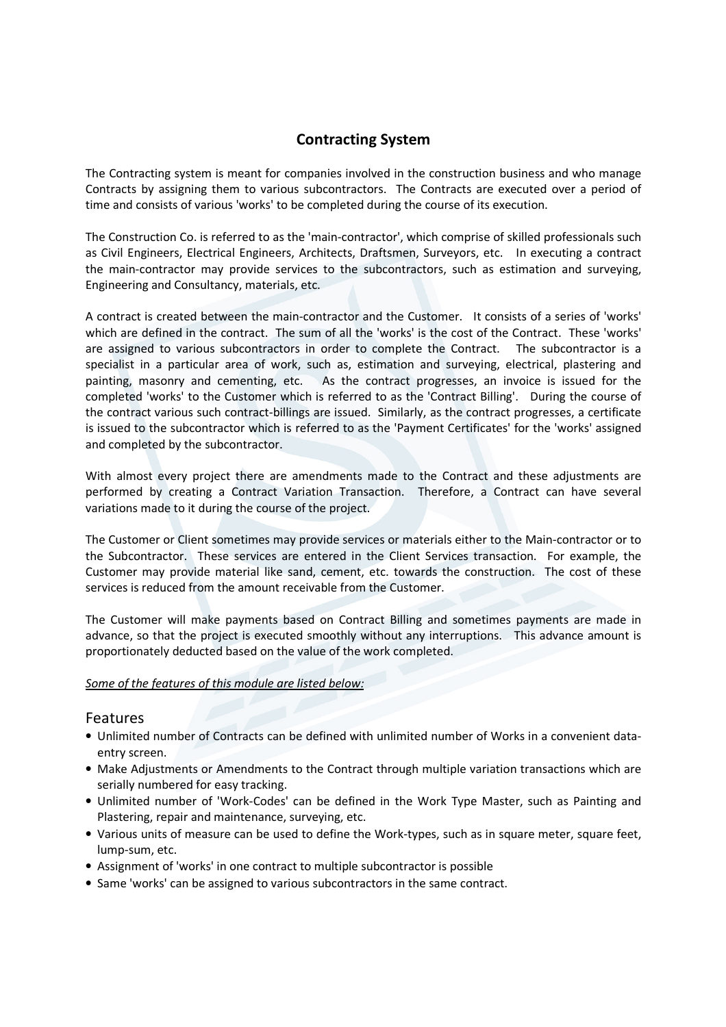## Contracting System

The Contracting system is meant for companies involved in the construction business and who manage Contracts by assigning them to various subcontractors. The Contracts are executed over a period of time and consists of various 'works' to be completed during the course of its execution.

The Construction Co. is referred to as the 'main-contractor', which comprise of skilled professionals such as Civil Engineers, Electrical Engineers, Architects, Draftsmen, Surveyors, etc. In executing a contract the main-contractor may provide services to the subcontractors, such as estimation and surveying, Engineering and Consultancy, materials, etc.

A contract is created between the main-contractor and the Customer. It consists of a series of 'works' which are defined in the contract. The sum of all the 'works' is the cost of the Contract. These 'works' are assigned to various subcontractors in order to complete the Contract. The subcontractor is a specialist in a particular area of work, such as, estimation and surveying, electrical, plastering and painting, masonry and cementing, etc. As the contract progresses, an invoice is issued for the completed 'works' to the Customer which is referred to as the 'Contract Billing'. During the course of the contract various such contract-billings are issued. Similarly, as the contract progresses, a certificate is issued to the subcontractor which is referred to as the 'Payment Certificates' for the 'works' assigned and completed by the subcontractor.

With almost every project there are amendments made to the Contract and these adjustments are performed by creating a Contract Variation Transaction. Therefore, a Contract can have several variations made to it during the course of the project.

The Customer or Client sometimes may provide services or materials either to the Main-contractor or to the Subcontractor. These services are entered in the Client Services transaction. For example, the Customer may provide material like sand, cement, etc. towards the construction. The cost of these services is reduced from the amount receivable from the Customer.

The Customer will make payments based on Contract Billing and sometimes payments are made in advance, so that the project is executed smoothly without any interruptions. This advance amount is proportionately deducted based on the value of the work completed.

## Some of the features of this module are listed below:

## Features

- Unlimited number of Contracts can be defined with unlimited number of Works in a convenient dataentry screen.
- Make Adjustments or Amendments to the Contract through multiple variation transactions which are serially numbered for easy tracking.
- Unlimited number of 'Work-Codes' can be defined in the Work Type Master, such as Painting and Plastering, repair and maintenance, surveying, etc.
- Various units of measure can be used to define the Work-types, such as in square meter, square feet, lump-sum, etc.
- Assignment of 'works' in one contract to multiple subcontractor is possible
- Same 'works' can be assigned to various subcontractors in the same contract.